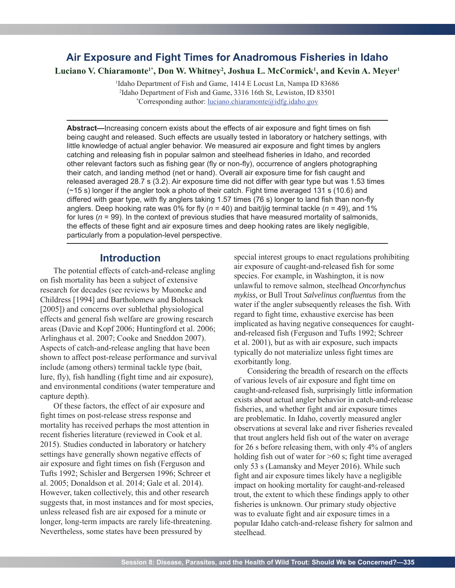# **Air Exposure and Fight Times for Anadromous Fisheries in Idaho**

Luciano V. Chiaramonte<sup>1\*</sup>, Don W. Whitney<sup>2</sup>, Joshua L. McCormick<sup>1</sup>, and Kevin A. Meyer<sup>1</sup>

<sup>1</sup>Idaho Department of Fish and Game, 1414 E Locust Ln, Nampa ID 83686 2 Idaho Department of Fish and Game, 3316 16th St, Lewiston, ID 83501 \* Corresponding author: luciano.chiaramonte@idfg.idaho.gov

**Abstract—**Increasing concern exists about the effects of air exposure and fight times on fish being caught and released. Such effects are usually tested in laboratory or hatchery settings, with little knowledge of actual angler behavior. We measured air exposure and fight times by anglers catching and releasing fish in popular salmon and steelhead fisheries in Idaho, and recorded other relevant factors such as fishing gear (fly or non-fly), occurrence of anglers photographing their catch, and landing method (net or hand). Overall air exposure time for fish caught and released averaged 28.7 s (3.2). Air exposure time did not differ with gear type but was 1.53 times (~15 s) longer if the angler took a photo of their catch. Fight time averaged 131 s (10.6) and differed with gear type, with fly anglers taking 1.57 times (76 s) longer to land fish than non-fly anglers. Deep hooking rate was 0% for fly (*n* = 40) and bait/jig terminal tackle (*n* = 49), and 1% for lures ( $n = 99$ ). In the context of previous studies that have measured mortality of salmonids, the effects of these fight and air exposure times and deep hooking rates are likely negligible, particularly from a population-level perspective.

### **Introduction**

The potential effects of catch-and-release angling on fish mortality has been a subject of extensive research for decades (see reviews by Muoneke and Childress [1994] and Bartholomew and Bohnsack [2005]) and concerns over sublethal physiological effects and general fish welfare are growing research areas (Davie and Kopf 2006; Huntingford et al. 2006; Arlinghaus et al. 2007; Cooke and Sneddon 2007). Aspects of catch-and-release angling that have been shown to affect post-release performance and survival include (among others) terminal tackle type (bait, lure, fly), fish handling (fight time and air exposure), and environmental conditions (water temperature and capture depth).

Of these factors, the effect of air exposure and fight times on post-release stress response and mortality has received perhaps the most attention in recent fisheries literature (reviewed in Cook et al. 2015). Studies conducted in laboratory or hatchery settings have generally shown negative effects of air exposure and fight times on fish (Ferguson and Tufts 1992; Schisler and Bergersen 1996; Schreer et al. 2005; Donaldson et al. 2014; Gale et al. 2014). However, taken collectively, this and other research suggests that, in most instances and for most species, unless released fish are air exposed for a minute or longer, long-term impacts are rarely life-threatening. Nevertheless, some states have been pressured by

special interest groups to enact regulations prohibiting air exposure of caught-and-released fish for some species. For example, in Washington, it is now unlawful to remove salmon, steelhead *Oncorhynchus mykiss*, or Bull Trout *Salvelinus confluentus* from the water if the angler subsequently releases the fish. With regard to fight time, exhaustive exercise has been implicated as having negative consequences for caughtand-released fish (Ferguson and Tufts 1992; Schreer et al. 2001), but as with air exposure, such impacts typically do not materialize unless fight times are exorbitantly long.

Considering the breadth of research on the effects of various levels of air exposure and fight time on caught-and-released fish, surprisingly little information exists about actual angler behavior in catch-and-release fisheries, and whether fight and air exposure times are problematic. In Idaho, covertly measured angler observations at several lake and river fisheries revealed that trout anglers held fish out of the water on average for 26 s before releasing them, with only 4% of anglers holding fish out of water for  $>60$  s; fight time averaged only 53 s (Lamansky and Meyer 2016). While such fight and air exposure times likely have a negligible impact on hooking mortality for caught-and-released trout, the extent to which these findings apply to other fisheries is unknown. Our primary study objective was to evaluate fight and air exposure times in a popular Idaho catch-and-release fishery for salmon and steelhead.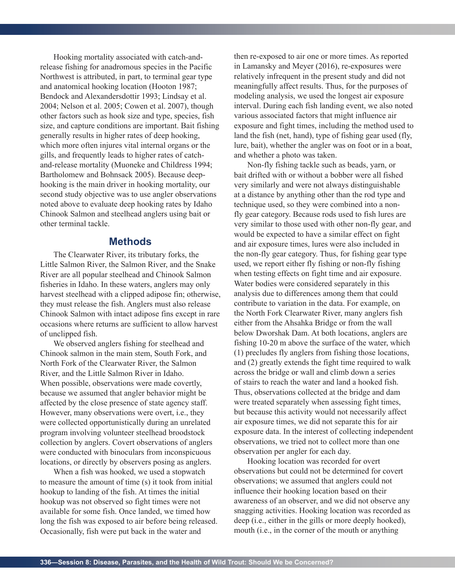Hooking mortality associated with catch-andrelease fishing for anadromous species in the Pacific Northwest is attributed, in part, to terminal gear type and anatomical hooking location (Hooton 1987; Bendock and Alexandersdottir 1993; Lindsay et al. 2004; Nelson et al. 2005; Cowen et al. 2007), though other factors such as hook size and type, species, fish size, and capture conditions are important. Bait fishing generally results in higher rates of deep hooking, which more often injures vital internal organs or the gills, and frequently leads to higher rates of catchand-release mortality (Muoneke and Childress 1994; Bartholomew and Bohnsack 2005). Because deephooking is the main driver in hooking mortality, our second study objective was to use angler observations noted above to evaluate deep hooking rates by Idaho Chinook Salmon and steelhead anglers using bait or other terminal tackle.

### **Methods**

The Clearwater River, its tributary forks, the Little Salmon River, the Salmon River, and the Snake River are all popular steelhead and Chinook Salmon fisheries in Idaho. In these waters, anglers may only harvest steelhead with a clipped adipose fin; otherwise, they must release the fish. Anglers must also release Chinook Salmon with intact adipose fins except in rare occasions where returns are sufficient to allow harvest of unclipped fish.

We observed anglers fishing for steelhead and Chinook salmon in the main stem, South Fork, and North Fork of the Clearwater River, the Salmon River, and the Little Salmon River in Idaho. When possible, observations were made covertly, because we assumed that angler behavior might be affected by the close presence of state agency staff. However, many observations were overt, i.e., they were collected opportunistically during an unrelated program involving volunteer steelhead broodstock collection by anglers. Covert observations of anglers were conducted with binoculars from inconspicuous locations, or directly by observers posing as anglers.

When a fish was hooked, we used a stopwatch to measure the amount of time (s) it took from initial hookup to landing of the fish. At times the initial hookup was not observed so fight times were not available for some fish. Once landed, we timed how long the fish was exposed to air before being released. Occasionally, fish were put back in the water and

then re-exposed to air one or more times. As reported in Lamansky and Meyer (2016), re-exposures were relatively infrequent in the present study and did not meaningfully affect results. Thus, for the purposes of modeling analysis, we used the longest air exposure interval. During each fish landing event, we also noted various associated factors that might influence air exposure and fight times, including the method used to land the fish (net, hand), type of fishing gear used (fly, lure, bait), whether the angler was on foot or in a boat, and whether a photo was taken.

Non-fly fishing tackle such as beads, yarn, or bait drifted with or without a bobber were all fished very similarly and were not always distinguishable at a distance by anything other than the rod type and technique used, so they were combined into a nonfly gear category. Because rods used to fish lures are very similar to those used with other non-fly gear, and would be expected to have a similar effect on fight and air exposure times, lures were also included in the non-fly gear category. Thus, for fishing gear type used, we report either fly fishing or non-fly fishing when testing effects on fight time and air exposure. Water bodies were considered separately in this analysis due to differences among them that could contribute to variation in the data. For example, on the North Fork Clearwater River, many anglers fish either from the Ahsahka Bridge or from the wall below Dworshak Dam. At both locations, anglers are fishing 10-20 m above the surface of the water, which (1) precludes fly anglers from fishing those locations, and (2) greatly extends the fight time required to walk across the bridge or wall and climb down a series of stairs to reach the water and land a hooked fish. Thus, observations collected at the bridge and dam were treated separately when assessing fight times, but because this activity would not necessarily affect air exposure times, we did not separate this for air exposure data. In the interest of collecting independent observations, we tried not to collect more than one observation per angler for each day.

Hooking location was recorded for overt observations but could not be determined for covert observations; we assumed that anglers could not influence their hooking location based on their awareness of an observer, and we did not observe any snagging activities. Hooking location was recorded as deep (i.e., either in the gills or more deeply hooked), mouth (i.e., in the corner of the mouth or anything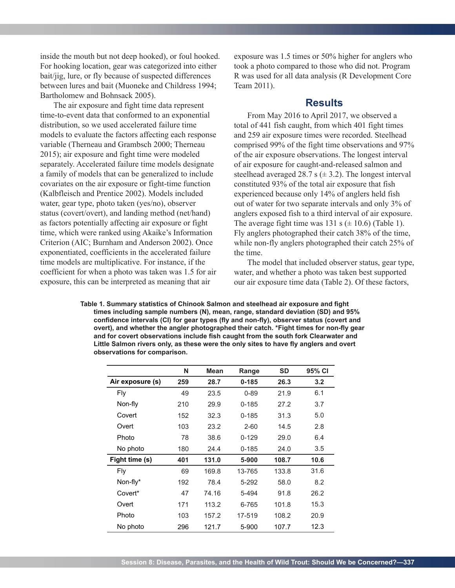inside the mouth but not deep hooked), or foul hooked. For hooking location, gear was categorized into either bait/jig, lure, or fly because of suspected differences between lures and bait (Muoneke and Childress 1994; Bartholomew and Bohnsack 2005).

The air exposure and fight time data represent time-to-event data that conformed to an exponential distribution, so we used accelerated failure time models to evaluate the factors affecting each response variable (Therneau and Grambsch 2000; Therneau 2015); air exposure and fight time were modeled separately. Accelerated failure time models designate a family of models that can be generalized to include covariates on the air exposure or fight-time function (Kalbfleisch and Prentice 2002). Models included water, gear type, photo taken (yes/no), observer status (covert/overt), and landing method (net/hand) as factors potentially affecting air exposure or fight time, which were ranked using Akaike's Information Criterion (AIC; Burnham and Anderson 2002). Once exponentiated, coefficients in the accelerated failure time models are multiplicative. For instance, if the coefficient for when a photo was taken was 1.5 for air exposure, this can be interpreted as meaning that air

exposure was 1.5 times or 50% higher for anglers who took a photo compared to those who did not. Program R was used for all data analysis (R Development Core Team 2011).

#### **Results**

From May 2016 to April 2017, we observed a total of 441 fish caught, from which 401 fight times and 259 air exposure times were recorded. Steelhead comprised 99% of the fight time observations and 97% of the air exposure observations. The longest interval of air exposure for caught-and-released salmon and steelhead averaged 28.7 s  $(\pm 3.2)$ . The longest interval constituted 93% of the total air exposure that fish experienced because only 14% of anglers held fish out of water for two separate intervals and only 3% of anglers exposed fish to a third interval of air exposure. The average fight time was 131 s  $(\pm 10.6)$  (Table 1). Fly anglers photographed their catch 38% of the time, while non-fly anglers photographed their catch 25% of the time.

The model that included observer status, gear type, water, and whether a photo was taken best supported our air exposure time data (Table 2). Of these factors,

Table 1. Summary statistics of Chinook Salmon and steelhead air exposure and fight **times including sample numbers (N), mean, range, standard deviation (SD) and 95%**  confidence intervals (CI) for gear types (fly and non-fly), observer status (covert and overt), and whether the angler photographed their catch. \*Fight times for non-fly gear and for covert observations include fish caught from the south fork Clearwater and Little Salmon rivers only, as these were the only sites to have fly anglers and overt **observations for comparison.**

|                  | N   | Mean  | Range     | SD    | 95% CI |
|------------------|-----|-------|-----------|-------|--------|
| Air exposure (s) | 259 | 28.7  | $0 - 185$ | 26.3  | 3.2    |
| Fly              | 49  | 23.5  | $0 - 89$  | 21.9  | 6.1    |
| Non-fly          | 210 | 29.9  | $0 - 185$ | 27.2  | 3.7    |
| Covert           | 152 | 32.3  | $0 - 185$ | 31.3  | 5.0    |
| Overt            | 103 | 23.2  | $2 - 60$  | 14.5  | 2.8    |
| Photo            | 78  | 38.6  | $0 - 129$ | 29.0  | 6.4    |
| No photo         | 180 | 24.4  | $0 - 185$ | 24.0  | 3.5    |
| Fight time (s)   | 401 | 131.0 | 5-900     | 108.7 | 10.6   |
| Fly              | 69  | 169.8 | 13-765    | 133.8 | 31.6   |
| Non-fly*         | 192 | 78.4  | 5-292     | 58.0  | 8.2    |
| Covert*          | 47  | 74.16 | 5-494     | 91.8  | 26.2   |
| Overt            | 171 | 113.2 | 6-765     | 101.8 | 15.3   |
| Photo            | 103 | 157.2 | 17-519    | 108.2 | 20.9   |
| No photo         | 296 | 121.7 | 5-900     | 107.7 | 12.3   |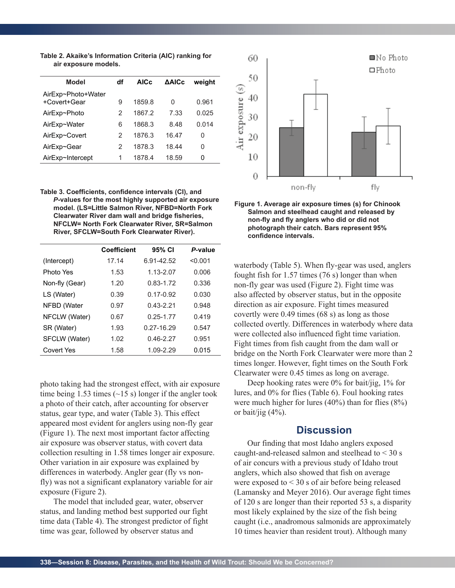**Table 2. Akaike's Information Criteria (AIC) ranking for air exposure models.**

| Model                              | df | AIC <sub>c</sub> | <b>AAICc</b> | weight |
|------------------------------------|----|------------------|--------------|--------|
| AirExp~Photo+Water<br>+Covert+Gear | 9  | 1859.8           | 0            | 0.961  |
| AirExp~Photo                       | 2  | 1867.2           | 7.33         | 0.025  |
| AirExp~Water                       | 6  | 1868.3           | 8.48         | 0.014  |
| AirExp~Covert                      | 2  | 1876.3           | 16.47        | 0      |
| AirExp~Gear                        | 2  | 1878.3           | 18.44        | 0      |
| AirExp~Intercept                   | 1  | 1878.4           | 18.59        | 0      |

Table 3. Coefficients, confidence intervals (CI), and *P***-values for the most highly supported air exposure model. (LS=Little Salmon River, NFBD=North Fork** Clearwater River dam wall and bridge fisheries, **NFCLW= North Fork Clearwater River, SR=Salmon River, SFCLW=South Fork Clearwater River).**

|                | <b>Coefficient</b> | 95% CI        | P-value |
|----------------|--------------------|---------------|---------|
| (Intercept)    | 17.14              | 6.91-42.52    | < 0.001 |
| Photo Yes      | 1.53               | $1.13 - 2.07$ | 0.006   |
| Non-fly (Gear) | 1.20               | $0.83 - 1.72$ | 0.336   |
| LS (Water)     | 0.39               | $0.17 - 0.92$ | 0.030   |
| NFBD (Water    | 0.97               | $0.43 - 2.21$ | 0.948   |
| NFCLW (Water)  | 0.67               | $0.25 - 1.77$ | 0.419   |
| SR (Water)     | 1.93               | 0.27-16.29    | 0.547   |
| SFCLW (Water)  | 1.02               | $0.46 - 2.27$ | 0.951   |
| Covert Yes     | 1.58               | 1.09-2.29     | 0.015   |

photo taking had the strongest effect, with air exposure time being 1.53 times  $(\sim 15 \text{ s})$  longer if the angler took a photo of their catch, after accounting for observer status, gear type, and water (Table 3). This effect appeared most evident for anglers using non-fly gear (Figure 1). The next most important factor affecting air exposure was observer status, with covert data collection resulting in 1.58 times longer air exposure. Other variation in air exposure was explained by differences in waterbody. Angler gear (fly vs nonfly) was not a significant explanatory variable for air exposure (Figure 2).

The model that included gear, water, observer status, and landing method best supported our fight time data (Table 4). The strongest predictor of fight time was gear, followed by observer status and



**Figure 1. Average air exposure times (s) for Chinook Salmon and steelhead caught and released by**  non-fly and fly anglers who did or did not **photograph their catch. Bars represent 95%**  confidence intervals.

waterbody (Table 5). When fly-gear was used, anglers fought fish for 1.57 times (76 s) longer than when non-fly gear was used (Figure 2). Fight time was also affected by observer status, but in the opposite direction as air exposure. Fight times measured covertly were 0.49 times (68 s) as long as those collected overtly. Differences in waterbody where data were collected also influenced fight time variation. Fight times from fish caught from the dam wall or bridge on the North Fork Clearwater were more than 2 times longer. However, fight times on the South Fork Clearwater were 0.45 times as long on average.

Deep hooking rates were 0% for bait/jig, 1% for lures, and 0% for flies (Table 6). Foul hooking rates were much higher for lures (40%) than for flies (8%) or bait/jig  $(4%).$ 

## **Discussion**

Our finding that most Idaho anglers exposed caught-and-released salmon and steelhead to < 30 s of air concurs with a previous study of Idaho trout anglers, which also showed that fish on average were exposed to < 30 s of air before being released (Lamansky and Meyer 2016). Our average fight times of 120 s are longer than their reported 53 s, a disparity most likely explained by the size of the fish being caught (i.e., anadromous salmonids are approximately 10 times heavier than resident trout). Although many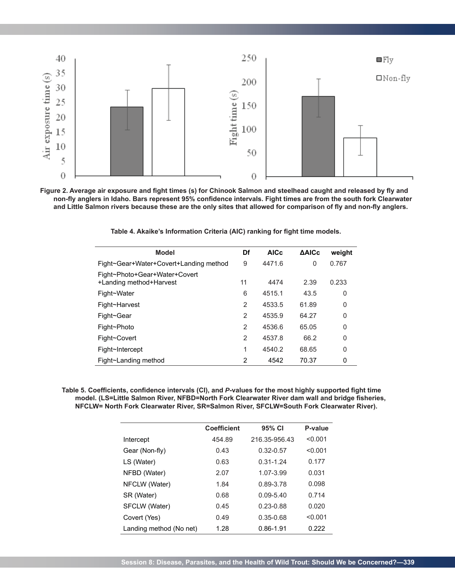

Figure 2. Average air exposure and fight times (s) for Chinook Salmon and steelhead caught and released by fly and non-fly anglers in Idaho. Bars represent 95% confidence intervals. Fight times are from the south fork Clearwater and Little Salmon rivers because these are the only sites that allowed for comparison of fly and non-fly anglers.

| <b>Model</b>                                             | Df             | <b>AICc</b> | <b>AAICc</b> | weight |
|----------------------------------------------------------|----------------|-------------|--------------|--------|
| Fight~Gear+Water+Covert+Landing method                   | 9              | 4471.6      | $\Omega$     | 0.767  |
| Fight~Photo+Gear+Water+Covert<br>+Landing method+Harvest | 11             | 4474        | 2.39         | 0.233  |
| Fight~Water                                              | 6              | 4515.1      | 43.5         | 0      |
| Fight~Harvest                                            | $\overline{2}$ | 4533.5      | 61.89        | 0      |
| Fight~Gear                                               | $\mathfrak{p}$ | 4535.9      | 64.27        | 0      |
| Fight~Photo                                              | $\mathcal{P}$  | 4536.6      | 65.05        | 0      |
| Fight~Covert                                             | $\overline{2}$ | 4537.8      | 66.2         | 0      |
| Fight~Intercept                                          | 1              | 4540.2      | 68.65        | 0      |
| Fight~Landing method                                     | 2              | 4542        | 70.37        | 0      |

Table 4. Akaike's Information Criteria (AIC) ranking for fight time models.

Table 5. Coefficients, confidence intervals (CI), and P-values for the most highly supported fight time model. (LS=Little Salmon River, NFBD=North Fork Clearwater River dam wall and bridge fisheries, **NFCLW= North Fork Clearwater River, SR=Salmon River, SFCLW=South Fork Clearwater River).**

|                         | <b>Coefficient</b> | 95% CI        | P-value |
|-------------------------|--------------------|---------------|---------|
| Intercept               | 454.89             | 216.35-956.43 | < 0.001 |
| Gear (Non-fly)          | 0.43               | $0.32 - 0.57$ | < 0.001 |
| LS (Water)              | 0.63               | $0.31 - 1.24$ | 0.177   |
| NFBD (Water)            | 2.07               | 1.07-3.99     | 0.031   |
| NFCLW (Water)           | 1.84               | 0.89-3.78     | 0.098   |
| SR (Water)              | 0.68               | $0.09 - 5.40$ | 0.714   |
| SFCLW (Water)           | 0.45               | 0.23-0.88     | 0.020   |
| Covert (Yes)            | 0.49               | 0.35-0.68     | < 0.001 |
| Landing method (No net) | 1.28               | 0.86-1.91     | 0.222   |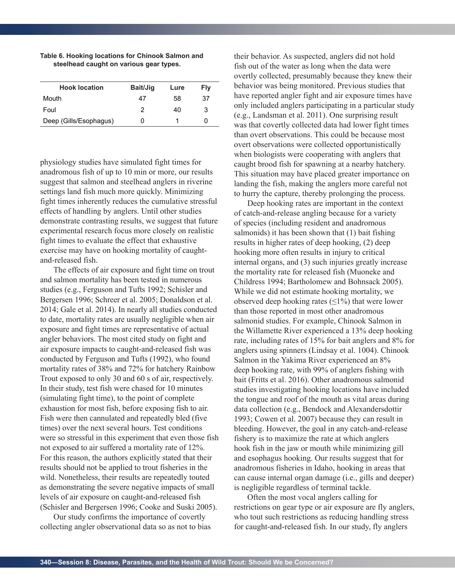| <b>Hook location</b>   | Bait/Jig | Lure | Fly |
|------------------------|----------|------|-----|
| Mouth                  | 47       | 58   | 37  |
| Foul                   | 2        | 40   | 3   |
| Deep (Gills/Esophagus) | O        |      |     |
|                        |          |      |     |

#### **Table 6. Hooking locations for Chinook Salmon and steelhead caught on various gear types.**

physiology studies have simulated fight times for anadromous fish of up to 10 min or more, our results suggest that salmon and steelhead anglers in riverine settings land fish much more quickly. Minimizing fight times inherently reduces the cumulative stressful effects of handling by anglers. Until other studies demonstrate contrasting results, we suggest that future experimental research focus more closely on realistic fight times to evaluate the effect that exhaustive exercise may have on hooking mortality of caughtand-released fish.

The effects of air exposure and fight time on trout and salmon mortality has been tested in numerous studies (e.g., Ferguson and Tufts 1992; Schisler and Bergersen 1996; Schreer et al. 2005; Donaldson et al. 2014; Gale et al. 2014). In nearly all studies conducted to date, mortality rates are usually negligible when air exposure and fight times are representative of actual angler behaviors. The most cited study on fight and air exposure impacts to caught-and-released fish was conducted by Ferguson and Tufts (1992), who found mortality rates of 38% and 72% for hatchery Rainbow Trout exposed to only 30 and 60 s of air, respectively. In their study, test fish were chased for 10 minutes (simulating fight time), to the point of complete exhaustion for most fish, before exposing fish to air. Fish were then cannulated and repeatedly bled (five times) over the next several hours. Test conditions were so stressful in this experiment that even those fish not exposed to air suffered a mortality rate of 12%. For this reason, the authors explicitly stated that their results should not be applied to trout fisheries in the wild. Nonetheless, their results are repeatedly touted as demonstrating the severe negative impacts of small levels of air exposure on caught-and-released fish (Schisler and Bergersen 1996; Cooke and Suski 2005).

Our study confirms the importance of covertly collecting angler observational data so as not to bias their behavior. As suspected, anglers did not hold fish out of the water as long when the data were overtly collected, presumably because they knew their behavior was being monitored. Previous studies that have reported angler fight and air exposure times have only included anglers participating in a particular study (e.g., Landsman et al. 2011). One surprising result was that covertly collected data had lower fight times than overt observations. This could be because most overt observations were collected opportunistically when biologists were cooperating with anglers that caught brood fish for spawning at a nearby hatchery. This situation may have placed greater importance on landing the fish, making the anglers more careful not to hurry the capture, thereby prolonging the process.

Deep hooking rates are important in the context of catch-and-release angling because for a variety of species (including resident and anadromous salmonids) it has been shown that (1) bait fishing results in higher rates of deep hooking, (2) deep hooking more often results in injury to critical internal organs, and (3) such injuries greatly increase the mortality rate for released fish (Muoneke and Childress 1994; Bartholomew and Bohnsack 2005). While we did not estimate hooking mortality, we observed deep hooking rates  $(\leq 1\%)$  that were lower than those reported in most other anadromous salmonid studies. For example, Chinook Salmon in the Willamette River experienced a 13% deep hooking rate, including rates of 15% for bait anglers and 8% for anglers using spinners (Lindsay et al. 1004). Chinook Salmon in the Yakima River experienced an 8% deep hooking rate, with 99% of anglers fishing with bait (Fritts et al. 2016). Other anadromous salmonid studies investigating hooking locations have included the tongue and roof of the mouth as vital areas during data collection (e.g., Bendock and Alexandersdottir 1993; Cowen et al. 2007) because they can result in bleeding. However, the goal in any catch-and-release fishery is to maximize the rate at which anglers hook fish in the jaw or mouth while minimizing gill and esophagus hooking. Our results suggest that for anadromous fisheries in Idaho, hooking in areas that can cause internal organ damage (i.e., gills and deeper) is negligible regardless of terminal tackle.

Often the most vocal anglers calling for restrictions on gear type or air exposure are fly anglers, who tout such restrictions as reducing handling stress for caught-and-released fish. In our study, fly anglers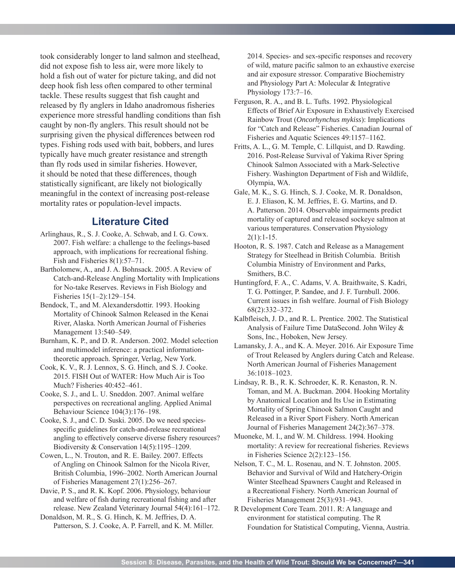took considerably longer to land salmon and steelhead, did not expose fish to less air, were more likely to hold a fish out of water for picture taking, and did not deep hook fish less often compared to other terminal tackle. These results suggest that fish caught and released by fly anglers in Idaho anadromous fisheries experience more stressful handling conditions than fish caught by non-fly anglers. This result should not be surprising given the physical differences between rod types. Fishing rods used with bait, bobbers, and lures typically have much greater resistance and strength than fly rods used in similar fisheries. However, it should be noted that these differences, though statistically significant, are likely not biologically meaningful in the context of increasing post-release mortality rates or population-level impacts.

# **Literature Cited**

- Arlinghaus, R., S. J. Cooke, A. Schwab, and I. G. Cowx. 2007. Fish welfare: a challenge to the feelings-based approach, with implications for recreational fishing. Fish and Fisheries 8(1):57–71.
- Bartholomew, A., and J. A. Bohnsack. 2005. A Review of Catch-and-Release Angling Mortality with Implications for No-take Reserves. Reviews in Fish Biology and Fisheries 15(1–2):129–154.
- Bendock, T., and M. Alexandersdottir. 1993. Hooking Mortality of Chinook Salmon Released in the Kenai River, Alaska. North American Journal of Fisheries Management 13:540–549.
- Burnham, K. P., and D. R. Anderson. 2002. Model selection and multimodel inference: a practical informationtheoretic approach. Springer, Verlag, New York.
- Cook, K. V., R. J. Lennox, S. G. Hinch, and S. J. Cooke. 2015. FISH Out of WATER: How Much Air is Too Much? Fisheries 40:452–461.
- Cooke, S. J., and L. U. Sneddon. 2007. Animal welfare perspectives on recreational angling. Applied Animal Behaviour Science 104(3):176–198.
- Cooke, S. J., and C. D. Suski. 2005. Do we need speciesspecific guidelines for catch-and-release recreational angling to effectively conserve diverse fishery resources? Biodiversity & Conservation 14(5):1195–1209.
- Cowen, L., N. Trouton, and R. E. Bailey. 2007. Effects of Angling on Chinook Salmon for the Nicola River, British Columbia, 1996–2002. North American Journal of Fisheries Management 27(1):256–267.
- Davie, P. S., and R. K. Kopf. 2006. Physiology, behaviour and welfare of fish during recreational fishing and after release. New Zealand Veterinary Journal 54(4):161–172.
- Donaldson, M. R., S. G. Hinch, K. M. Jeffries, D. A. Patterson, S. J. Cooke, A. P. Farrell, and K. M. Miller.

2014. Species- and sex-specific responses and recovery of wild, mature pacific salmon to an exhaustive exercise and air exposure stressor. Comparative Biochemistry and Physiology Part A: Molecular & Integrative Physiology 173:7–16.

- Ferguson, R. A., and B. L. Tufts. 1992. Physiological Effects of Brief Air Exposure in Exhaustively Exercised Rainbow Trout (*Oncorhynchus mykiss*): Implications for "Catch and Release" Fisheries. Canadian Journal of Fisheries and Aquatic Sciences 49:1157–1162.
- Fritts, A. L., G. M. Temple, C. Lillquist, and D. Rawding. 2016. Post-Release Survival of Yakima River Spring Chinook Salmon Associated with a Mark-Selective Fishery. Washington Department of Fish and Wildlife, Olympia, WA.
- Gale, M. K., S. G. Hinch, S. J. Cooke, M. R. Donaldson, E. J. Eliason, K. M. Jeffries, E. G. Martins, and D. A. Patterson. 2014. Observable impairments predict mortality of captured and released sockeye salmon at various temperatures. Conservation Physiology  $2(1):1-15.$
- Hooton, R. S. 1987. Catch and Release as a Management Strategy for Steelhead in British Columbia. British Columbia Ministry of Environment and Parks, Smithers, B.C.
- Huntingford, F. A., C. Adams, V. A. Braithwaite, S. Kadri, T. G. Pottinger, P. Sandøe, and J. F. Turnbull. 2006. Current issues in fish welfare. Journal of Fish Biology 68(2):332–372.
- Kalbfleisch, J. D., and R. L. Prentice. 2002. The Statistical Analysis of Failure Time DataSecond. John Wiley & Sons, Inc., Hoboken, New Jersey.
- Lamansky, J. A., and K. A. Meyer. 2016. Air Exposure Time of Trout Released by Anglers during Catch and Release. North American Journal of Fisheries Management 36:1018–1023.
- Lindsay, R. B., R. K. Schroeder, K. R. Kenaston, R. N. Toman, and M. A. Buckman. 2004. Hooking Mortality by Anatomical Location and Its Use in Estimating Mortality of Spring Chinook Salmon Caught and Released in a River Sport Fishery. North American Journal of Fisheries Management 24(2):367–378.
- Muoneke, M. I., and W. M. Childress. 1994. Hooking mortality: A review for recreational fisheries. Reviews in Fisheries Science 2(2):123–156.
- Nelson, T. C., M. L. Rosenau, and N. T. Johnston. 2005. Behavior and Survival of Wild and Hatchery-Origin Winter Steelhead Spawners Caught and Released in a Recreational Fishery. North American Journal of Fisheries Management 25(3):931–943.
- R Development Core Team. 2011. R: A language and environment for statistical computing. The R Foundation for Statistical Computing, Vienna, Austria.